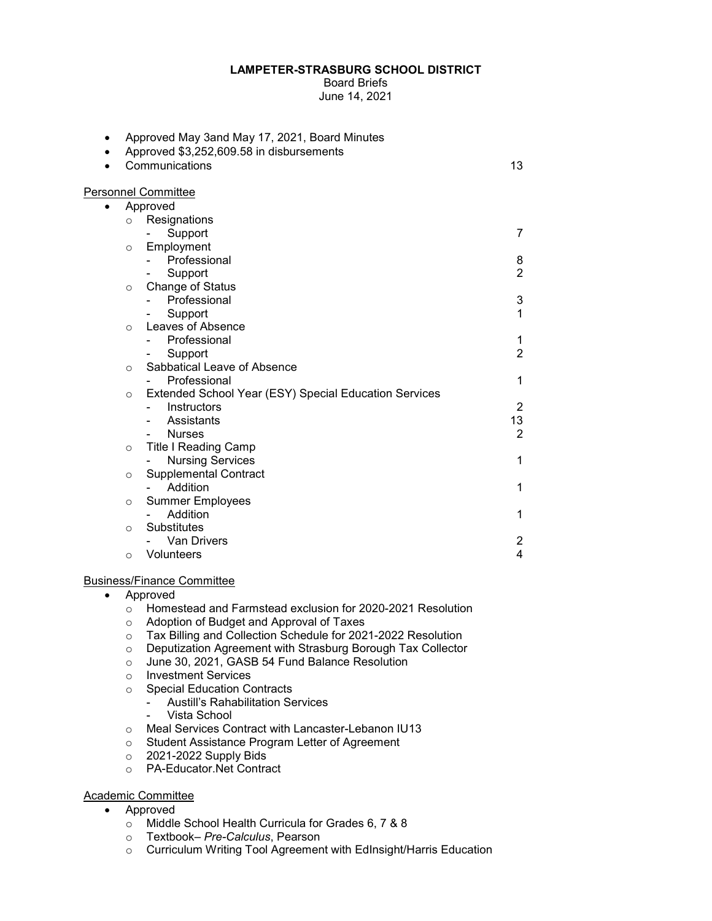## **LAMPETER-STRASBURG SCHOOL DISTRICT**

Board Briefs June 14, 2021

| Approved May 3and May 17, 2021, Board Minutes<br>Approved \$3,252,609.58 in disbursements |                |
|-------------------------------------------------------------------------------------------|----------------|
| Communications                                                                            | 13             |
| Personnel Committee                                                                       |                |
| Approved                                                                                  |                |
| Resignations<br>$\circ$                                                                   |                |
| Support                                                                                   | 7              |
| Employment<br>$\circ$                                                                     |                |
| Professional                                                                              | 8              |
| Support                                                                                   | $\overline{2}$ |
| Change of Status<br>$\circ$                                                               |                |
| Professional                                                                              | 3              |
| Support                                                                                   | 1              |
| Leaves of Absence<br>$\circ$                                                              |                |
| Professional                                                                              | 1              |
| Support                                                                                   | $\overline{2}$ |
| Sabbatical Leave of Absence<br>$\circ$                                                    |                |
| Professional                                                                              | 1              |
| Extended School Year (ESY) Special Education Services<br>$\circ$                          |                |
| Instructors                                                                               | $\overline{2}$ |
| Assistants                                                                                | 13             |
| <b>Nurses</b>                                                                             | $\overline{2}$ |
| Title I Reading Camp<br>$\circ$                                                           |                |
| <b>Nursing Services</b>                                                                   | 1              |
| <b>Supplemental Contract</b><br>$\circ$                                                   |                |
| Addition                                                                                  | 1              |
| <b>Summer Employees</b><br>$\circ$                                                        |                |
| Addition                                                                                  | 1              |
| Substitutes<br>$\circ$                                                                    |                |
| <b>Van Drivers</b>                                                                        | $\overline{c}$ |
| Volunteers<br>$\circ$                                                                     | 4              |
|                                                                                           |                |

## Business/Finance Committee

- Approved
	- o Homestead and Farmstead exclusion for 2020-2021 Resolution
	- o Adoption of Budget and Approval of Taxes
	- o Tax Billing and Collection Schedule for 2021-2022 Resolution
	- o Deputization Agreement with Strasburg Borough Tax Collector
	- o June 30, 2021, GASB 54 Fund Balance Resolution
	- o Investment Services
	- **o** Special Education Contracts<br>Austill's Rahabilitation Se
		- Austill's Rahabilitation Services
		- Vista School
	- o Meal Services Contract with Lancaster-Lebanon IU13
	- $\circ$  Student Assistance Program Letter of Agreement
	- $\circ$  2021-2022 Supply Bids
	- o PA-Educator.Net Contract

## Academic Committee

- Approved
	- o Middle School Health Curricula for Grades 6, 7 & 8
	- o Textbook– *Pre-Calculus*, Pearson
	- o Curriculum Writing Tool Agreement with EdInsight/Harris Education